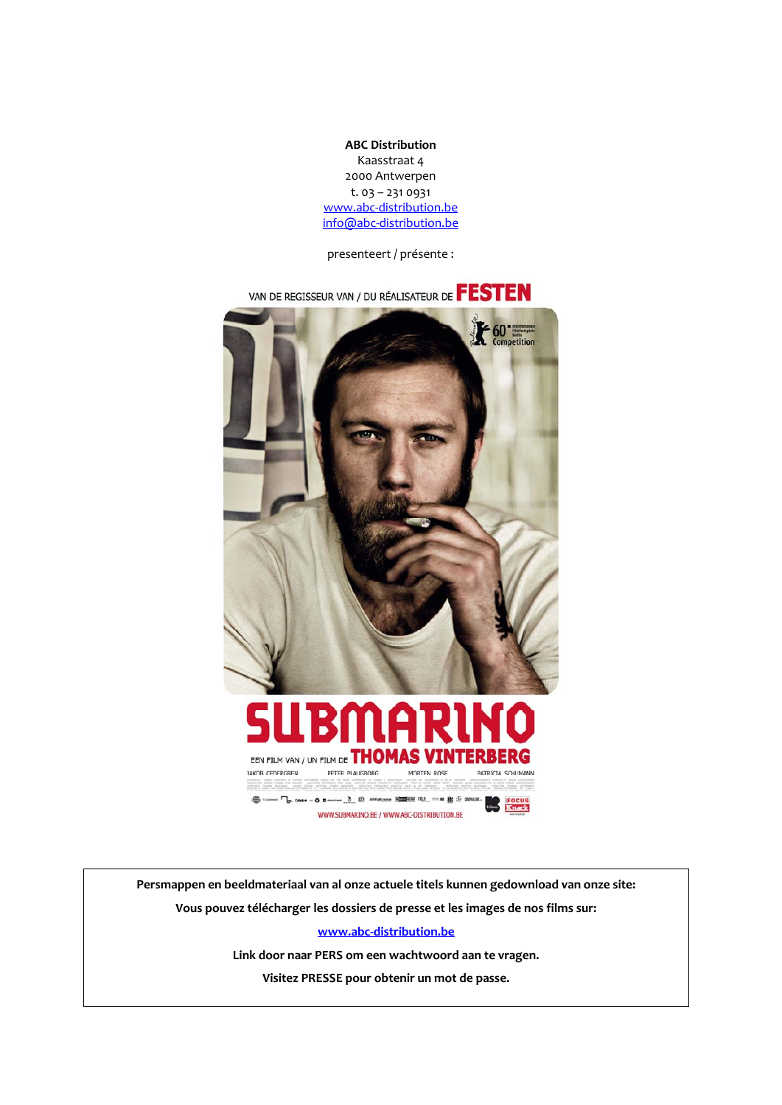**ABC Distribution** Kaasstraat 4 2000 Antwerpen t. 03 – 231 0931 www.abc‐distribution.be info@abc‐distribution.be

presenteert / présente :



**Persmappen en beeldmateriaal van al onze actuele titels kunnen gedownload van onze site: Vous pouvez télécharger les dossiers de presse et les images de nos films sur:**

**www.abc‐distribution.be** 

**Link door naar PERS om een wachtwoord aan te vragen.**

**Visitez PRESSE pour obtenir un mot de passe.**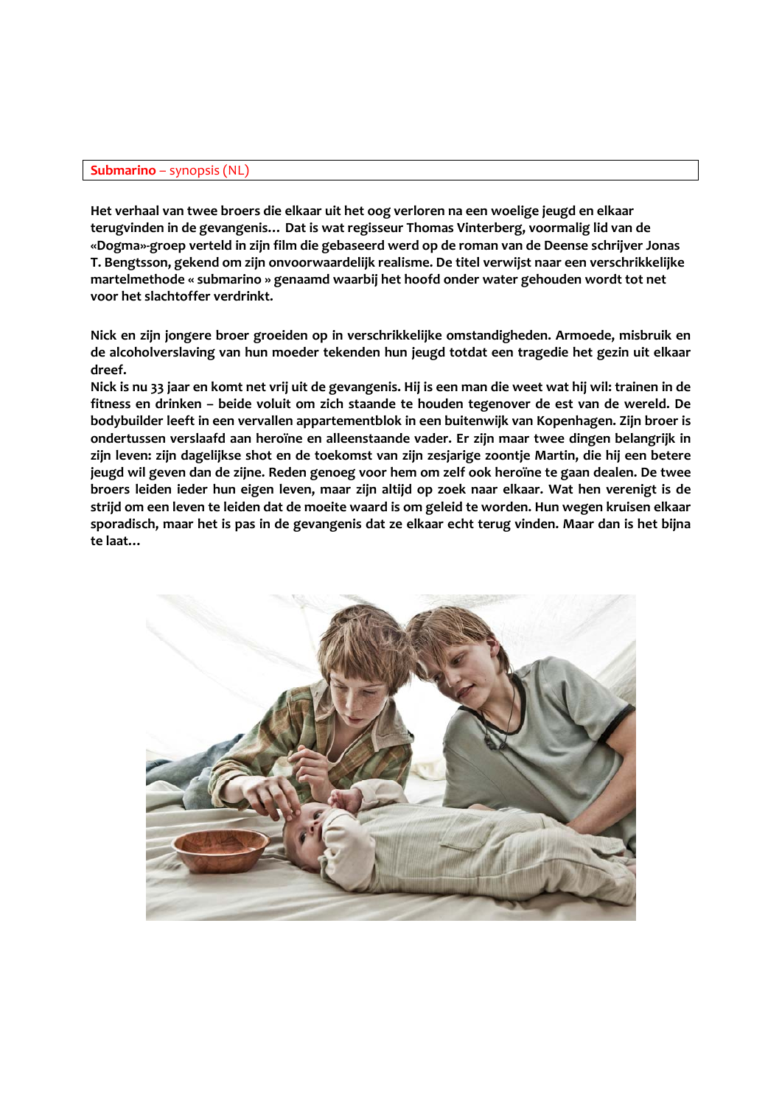# **Submarino** – synopsis (NL)

**Het verhaal van twee broers die elkaar uit het oog verloren na een woelige jeugd en elkaar terugvinden in de gevangenis… Dat is wat regisseur Thomas Vinterberg, voormalig lid van de «Dogma»‐groep verteld in zijn film die gebaseerd werd op de roman van de Deense schrijver Jonas T. Bengtsson, gekend om zijn onvoorwaardelijk realisme. De titel verwijst naar een verschrikkelijke martelmethode « submarino » genaamd waarbij het hoofd onder water gehouden wordt tot net voor het slachtoffer verdrinkt.** 

**Nick en zijn jongere broer groeiden op in verschrikkelijke omstandigheden. Armoede, misbruik en de alcoholverslaving van hun moeder tekenden hun jeugd totdat een tragedie het gezin uit elkaar dreef.** 

Nick is nu 33 jaar en komt net vrij uit de gevangenis. Hij is een man die weet wat hij wil: trainen in de **fitness en drinken – beide voluit om zich staande te houden tegenover de est van de wereld. De bodybuilder leeft in een vervallen appartementblok in een buitenwijk van Kopenhagen. Zijn broer is ondertussen verslaafd aan heroïne en alleenstaande vader. Er zijn maar twee dingen belangrijk in zijn leven: zijn dagelijkse shot en de toekomst van zijn zesjarige zoontje Martin, die hij een betere** jeugd wil geven dan de zijne. Reden genoeg voor hem om zelf ook heroïne te gaan dealen. De twee **broers leiden ieder hun eigen leven, maar zijn altijd op zoek naar elkaar. Wat hen verenigt is de** strijd om een leven te leiden dat de moeite waard is om geleid te worden. Hun wegen kruisen elkaar sporadisch, maar het is pas in de gevangenis dat ze elkaar echt terug vinden. Maar dan is het bijna **te laat…**

![](_page_1_Picture_4.jpeg)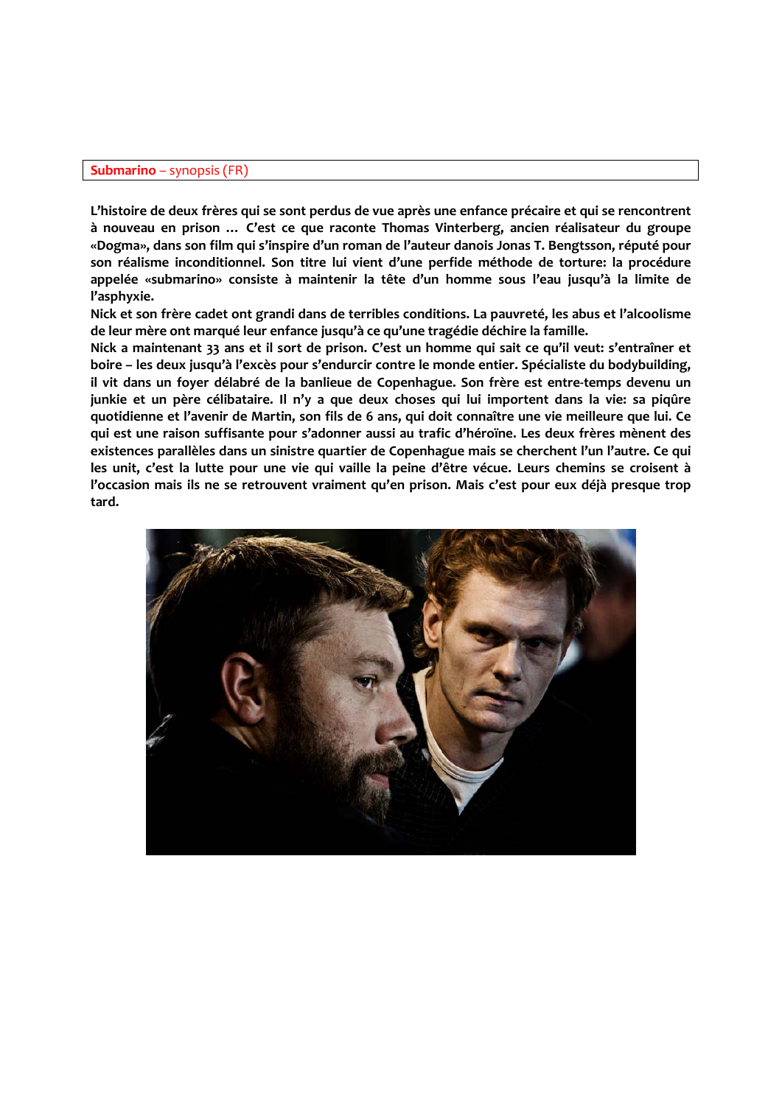# **Submarino** – synopsis (FR)

L'histoire de deux frères qui se sont perdus de vue après une enfance précaire et qui se rencontrent **à nouveau en prison … C'est ce que raconte Thomas Vinterberg, ancien réalisateur du groupe «Dogma», dans son film qui s'inspire d'un roman de l'auteur danois Jonas T. Bengtsson, réputé pour son réalisme inconditionnel. Son titre lui vient d'une perfide méthode de torture: la procédure appelée «submarino» consiste à maintenir la tête d'un homme sous l'eau jusqu'à la limite de l'asphyxie.** 

**Nick et son frère cadet ont grandi dans de terribles conditions. La pauvreté, les abus et l'alcoolisme de leur mère ont marqué leur enfance jusqu'à ce qu'une tragédie déchire la famille.** 

Nick a maintenant 33 ans et il sort de prison. C'est un homme qui sait ce qu'il veut: s'entraîner et **boire – les deux jusqu'à l'excès pour s'endurcir contre le monde entier. Spécialiste du bodybuilding,** il vit dans un foyer délabré de la banlieue de Copenhague. Son frère est entre-temps devenu un junkie et un père célibataire. Il n'y a que deux choses qui lui importent dans la vie: sa piqûre quotidienne et l'avenir de Martin, son fils de 6 ans, qui doit connaître une vie meilleure que lui. Ce **qui est une raison suffisante pour s'adonner aussi au trafic d'héroïne. Les deux frères mènent des existences parallèles dans un sinistre quartier de Copenhague mais se cherchent l'un l'autre. Ce qui** les unit, c'est la lutte pour une vie qui vaille la peine d'être vécue. Leurs chemins se croisent à **l'occasion mais ils ne se retrouvent vraiment qu'en prison. Mais c'est pour eux déjà presque trop tard.**

![](_page_2_Picture_4.jpeg)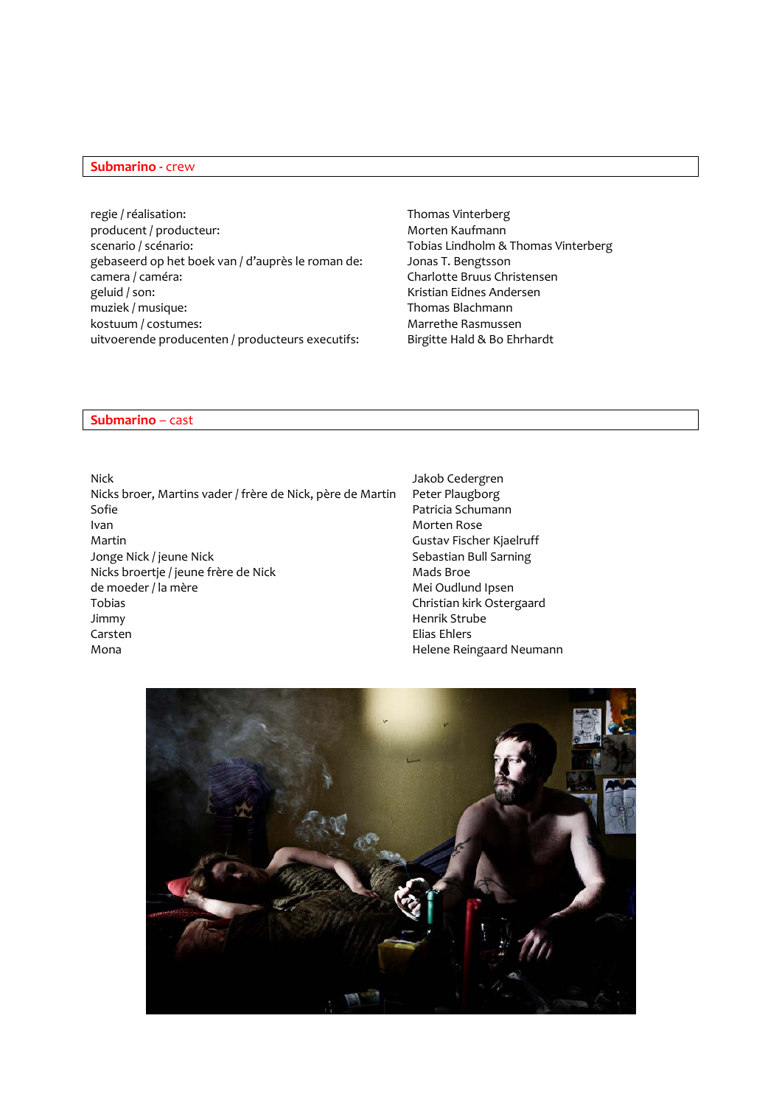## **Submarino ‐** crew

regie / réalisation: Thomas Vinterberg producent / producteur:  $M$  Morten Kaufmann scenario / scénario: Tobias Lindholm & Thomas Vinterberg gebaseerd op het boek van / d'auprès le roman de: Jonas T. Bengtsson camera / caméra: Charlotte Bruus Christensen geluid / son: 
Kristian Eidnes Andersen<br>
muziek / musique:

Kristian Eidnes Andersen<br>
Thomas Blachmann muziek / musique: kostuum / costumes: Marrethe Rasmussen uitvoerende producenten / producteurs executifs: Birgitte Hald & Bo Ehrhardt

### **Submarino** – cast

Nick Jakob Cedergren<br>Nicks broer, Martins vader / frère de Nick, père de Martin Peter Plaugborg Nicks broer, Martins vader / frère de Nick, père de Martin Sofie **Patricia Schumann** Ivan Morten Rose Martin Gustav Fischer Kjaelruff Jonge Nick / jeune Nick<br>Nicks broertje / jeune frère de Nick<br>Sebastian Bull Sarning<br>Mads Broe Nicks broertje / jeune frère de Nick<br>de moeder / la mère Tobias Christian kirk Ostergaard Jimmy Henrik Strube Carsten **Elias Ehlers** Mona **Mona** Helene Reingaard Neumann

Mei Oudlund Ipsen

![](_page_3_Picture_6.jpeg)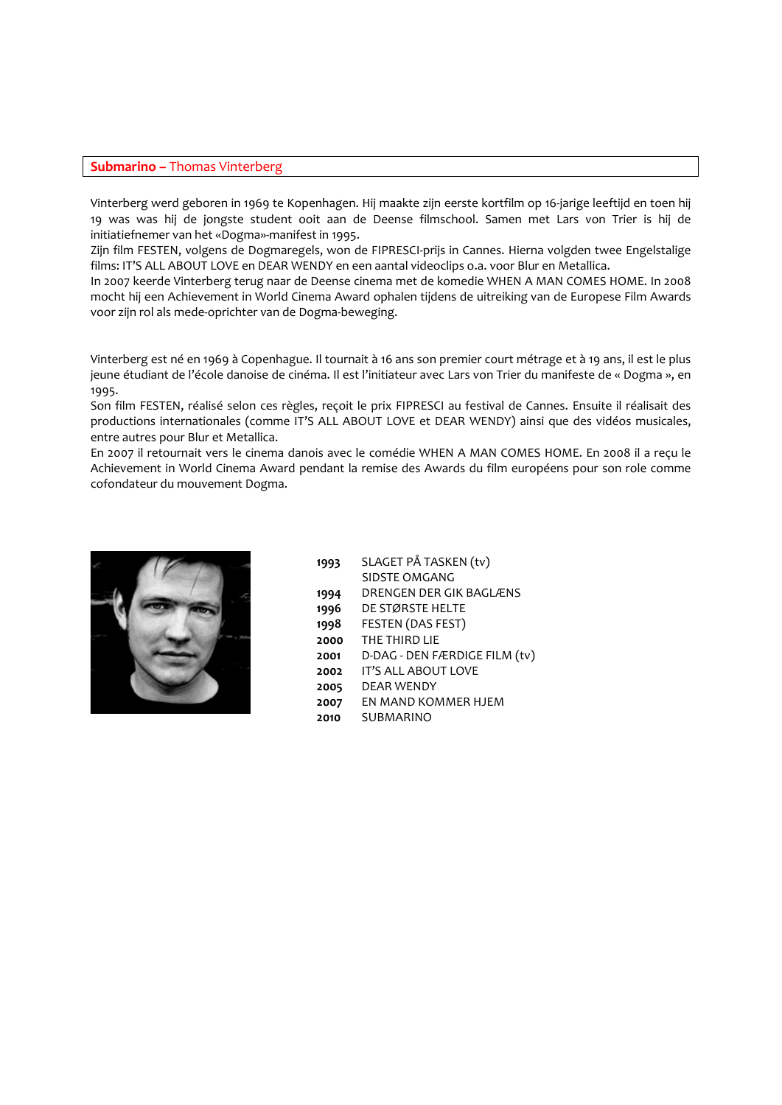### **Submarino –** Thomas Vinterberg

Vinterberg werd geboren in 1969 te Kopenhagen. Hij maakte zijn eerste kortfilm op 16‐jarige leeftijd en toen hij 19 was was hij de jongste student ooit aan de Deense filmschool. Samen met Lars von Trier is hij de initiatiefnemer van het «Dogma»‐manifest in 1995.

Zijn film FESTEN, volgens de Dogmaregels, won de FIPRESCI‐prijs in Cannes. Hierna volgden twee Engelstalige films: IT'S ALL ABOUT LOVE en DEAR WENDY en een aantal videoclips o.a. voor Blur en Metallica.

In 2007 keerde Vinterberg terug naar de Deense cinema met de komedie WHEN A MAN COMES HOME. In 2008 mocht hij een Achievement in World Cinema Award ophalen tijdens de uitreiking van de Europese Film Awards voor zijn rol als mede‐oprichter van de Dogma‐beweging.

Vinterberg est né en 1969 à Copenhague. Il tournait à 16 ans son premier court métrage et à 19 ans, il est le plus jeune étudiant de l'école danoise de cinéma. Il est l'initiateur avec Lars von Trier du manifeste de « Dogma », en 1995.

Son film FESTEN, réalisé selon ces règles, reçoit le prix FIPRESCI au festival de Cannes. Ensuite il réalisait des productions internationales (comme IT'S ALL ABOUT LOVE et DEAR WENDY) ainsi que des vidéos musicales, entre autres pour Blur et Metallica.

En 2007 il retournait vers le cinema danois avec le comédie WHEN A MAN COMES HOME. En 2008 il a reçu le Achievement in World Cinema Award pendant la remise des Awards du film européens pour son role comme cofondateur du mouvement Dogma.

![](_page_4_Picture_7.jpeg)

 SLAGET PÅ TASKEN (tv) SIDSTE OMGANG DRENGEN DER GIK BAGLÆNS DE STØRSTE HELTE FESTEN (DAS FEST) THE THIRD LIE D‐DAG ‐ DEN FÆRDIGE FILM (tv) IT'S ALL ABOUT LOVE DEAR WENDY EN MAND KOMMER HJEM **2010** SUBMARINO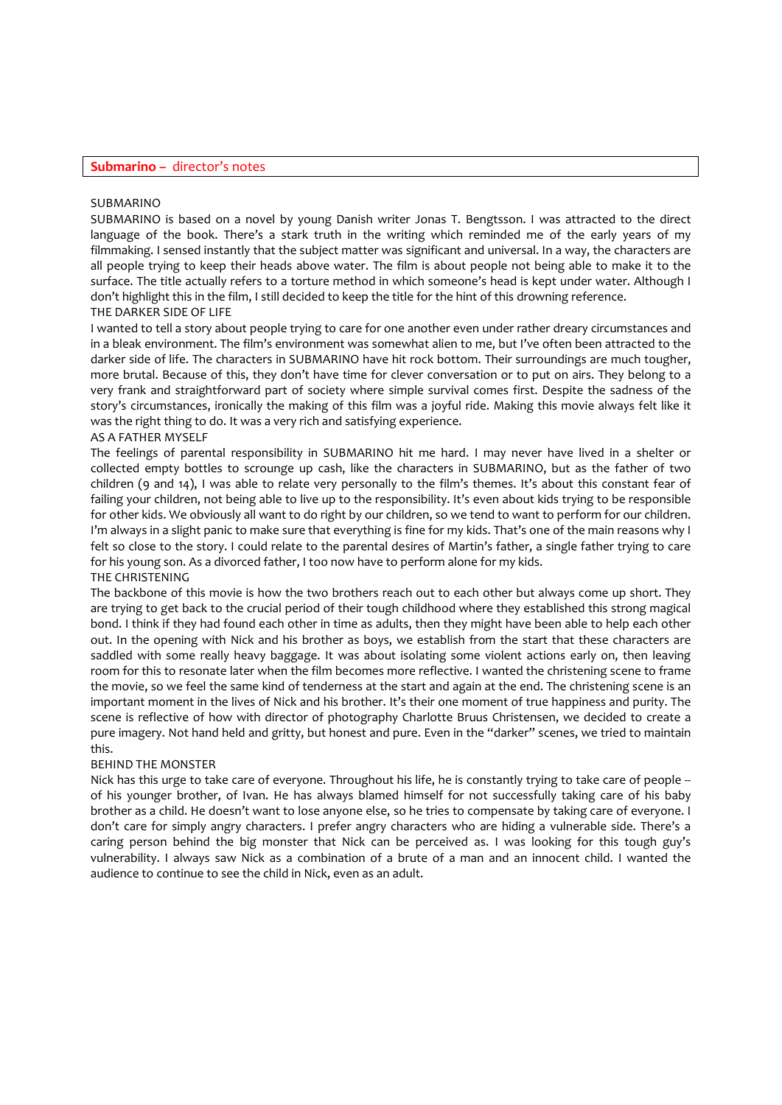### **Submarino –** director's notes

#### SUBMARINO

SUBMARINO is based on a novel by young Danish writer Jonas T. Bengtsson. I was attracted to the direct language of the book. There's a stark truth in the writing which reminded me of the early years of my filmmaking. I sensed instantly that the subject matter was significant and universal. In a way, the characters are all people trying to keep their heads above water. The film is about people not being able to make it to the surface. The title actually refers to a torture method in which someone's head is kept under water. Although I don't highlight this in the film, I still decided to keep the title for the hint of this drowning reference. THE DARKER SIDE OF LIFE

## I wanted to tell a story about people trying to care for one another even under rather dreary circumstances and in a bleak environment. The film's environment was somewhat alien to me, but I've often been attracted to the darker side of life. The characters in SUBMARINO have hit rock bottom. Their surroundings are much tougher, more brutal. Because of this, they don't have time for clever conversation or to put on airs. They belong to a very frank and straightforward part of society where simple survival comes first. Despite the sadness of the story's circumstances, ironically the making of this film was a joyful ride. Making this movie always felt like it was the right thing to do. It was a very rich and satisfying experience.

### AS A FATHER MYSELF

The feelings of parental responsibility in SUBMARINO hit me hard. I may never have lived in a shelter or collected empty bottles to scrounge up cash, like the characters in SUBMARINO, but as the father of two children (9 and 14), I was able to relate very personally to the film's themes. It's about this constant fear of failing your children, not being able to live up to the responsibility. It's even about kids trying to be responsible for other kids. We obviously all want to do right by our children, so we tend to want to perform for our children. I'm always in a slight panic to make sure that everything is fine for my kids. That's one of the main reasons why I felt so close to the story. I could relate to the parental desires of Martin's father, a single father trying to care for his young son. As a divorced father, I too now have to perform alone for my kids. THE CHRISTENING

The backbone of this movie is how the two brothers reach out to each other but always come up short. They are trying to get back to the crucial period of their tough childhood where they established this strong magical bond. I think if they had found each other in time as adults, then they might have been able to help each other out. In the opening with Nick and his brother as boys, we establish from the start that these characters are saddled with some really heavy baggage. It was about isolating some violent actions early on, then leaving room for this to resonate later when the film becomes more reflective. I wanted the christening scene to frame the movie, so we feel the same kind of tenderness at the start and again at the end. The christening scene is an important moment in the lives of Nick and his brother. It's their one moment of true happiness and purity. The scene is reflective of how with director of photography Charlotte Bruus Christensen, we decided to create a pure imagery. Not hand held and gritty, but honest and pure. Even in the "darker" scenes, we tried to maintain this.

### BEHIND THE MONSTER

Nick has this urge to take care of everyone. Throughout his life, he is constantly trying to take care of people -of his younger brother, of Ivan. He has always blamed himself for not successfully taking care of his baby brother as a child. He doesn't want to lose anyone else, so he tries to compensate by taking care of everyone. I don't care for simply angry characters. I prefer angry characters who are hiding a vulnerable side. There's a caring person behind the big monster that Nick can be perceived as. I was looking for this tough guy's vulnerability. I always saw Nick as a combination of a brute of a man and an innocent child. I wanted the audience to continue to see the child in Nick, even as an adult.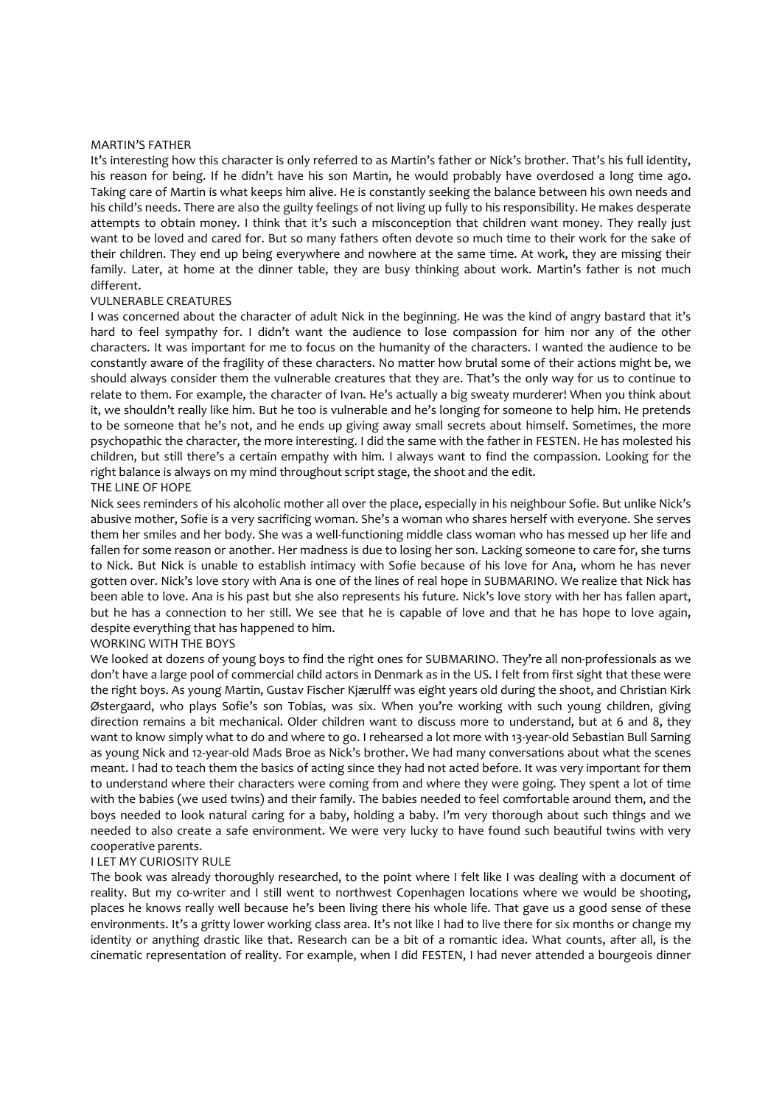#### MARTIN'S FATHER

It's interesting how this character is only referred to as Martin's father or Nick's brother. That's his full identity, his reason for being. If he didn't have his son Martin, he would probably have overdosed a long time ago. Taking care of Martin is what keeps him alive. He is constantly seeking the balance between his own needs and his child's needs. There are also the guilty feelings of not living up fully to his responsibility. He makes desperate attempts to obtain money. I think that it's such a misconception that children want money. They really just want to be loved and cared for. But so many fathers often devote so much time to their work for the sake of their children. They end up being everywhere and nowhere at the same time. At work, they are missing their family. Later, at home at the dinner table, they are busy thinking about work. Martin's father is not much different.

### VULNERABLE CREATURES

I was concerned about the character of adult Nick in the beginning. He was the kind of angry bastard that it's hard to feel sympathy for. I didn't want the audience to lose compassion for him nor any of the other characters. It was important for me to focus on the humanity of the characters. I wanted the audience to be constantly aware of the fragility of these characters. No matter how brutal some of their actions might be, we should always consider them the vulnerable creatures that they are. That's the only way for us to continue to relate to them. For example, the character of Ivan. He's actually a big sweaty murderer! When you think about it, we shouldn't really like him. But he too is vulnerable and he's longing for someone to help him. He pretends to be someone that he's not, and he ends up giving away small secrets about himself. Sometimes, the more psychopathic the character, the more interesting. I did the same with the father in FESTEN. He has molested his children, but still there's a certain empathy with him. I always want to find the compassion. Looking for the right balance is always on my mind throughout script stage, the shoot and the edit.

## THE LINE OF HOPE

Nick sees reminders of his alcoholic mother all over the place, especially in his neighbour Sofie. But unlike Nick's abusive mother, Sofie is a very sacrificing woman. She's a woman who shares herself with everyone. She serves them her smiles and her body. She was a well‐functioning middle class woman who has messed up her life and fallen for some reason or another. Her madness is due to losing her son. Lacking someone to care for, she turns to Nick. But Nick is unable to establish intimacy with Sofie because of his love for Ana, whom he has never gotten over. Nick's love story with Ana is one of the lines of real hope in SUBMARINO. We realize that Nick has been able to love. Ana is his past but she also represents his future. Nick's love story with her has fallen apart, but he has a connection to her still. We see that he is capable of love and that he has hope to love again, despite everything that has happened to him.

## WORKING WITH THE BOYS

We looked at dozens of young boys to find the right ones for SUBMARINO. They're all non-professionals as we don't have a large pool of commercial child actors in Denmark as in the US. I felt from first sight that these were the right boys. As young Martin, Gustav Fischer Kjærulff was eight years old during the shoot, and Christian Kirk Østergaard, who plays Sofie's son Tobias, was six. When you're working with such young children, giving direction remains a bit mechanical. Older children want to discuss more to understand, but at 6 and 8, they want to know simply what to do and where to go. I rehearsed a lot more with 13-year-old Sebastian Bull Sarning as young Nick and 12-year-old Mads Broe as Nick's brother. We had many conversations about what the scenes meant. I had to teach them the basics of acting since they had not acted before. It was very important for them to understand where their characters were coming from and where they were going. They spent a lot of time with the babies (we used twins) and their family. The babies needed to feel comfortable around them, and the boys needed to look natural caring for a baby, holding a baby. I'm very thorough about such things and we needed to also create a safe environment. We were very lucky to have found such beautiful twins with very cooperative parents.

### I LET MY CURIOSITY RULE

The book was already thoroughly researched, to the point where I felt like I was dealing with a document of reality. But my co-writer and I still went to northwest Copenhagen locations where we would be shooting, places he knows really well because he's been living there his whole life. That gave us a good sense of these environments. It's a gritty lower working class area. It's not like I had to live there for six months or change my identity or anything drastic like that. Research can be a bit of a romantic idea. What counts, after all, is the cinematic representation of reality. For example, when I did FESTEN, I had never attended a bourgeois dinner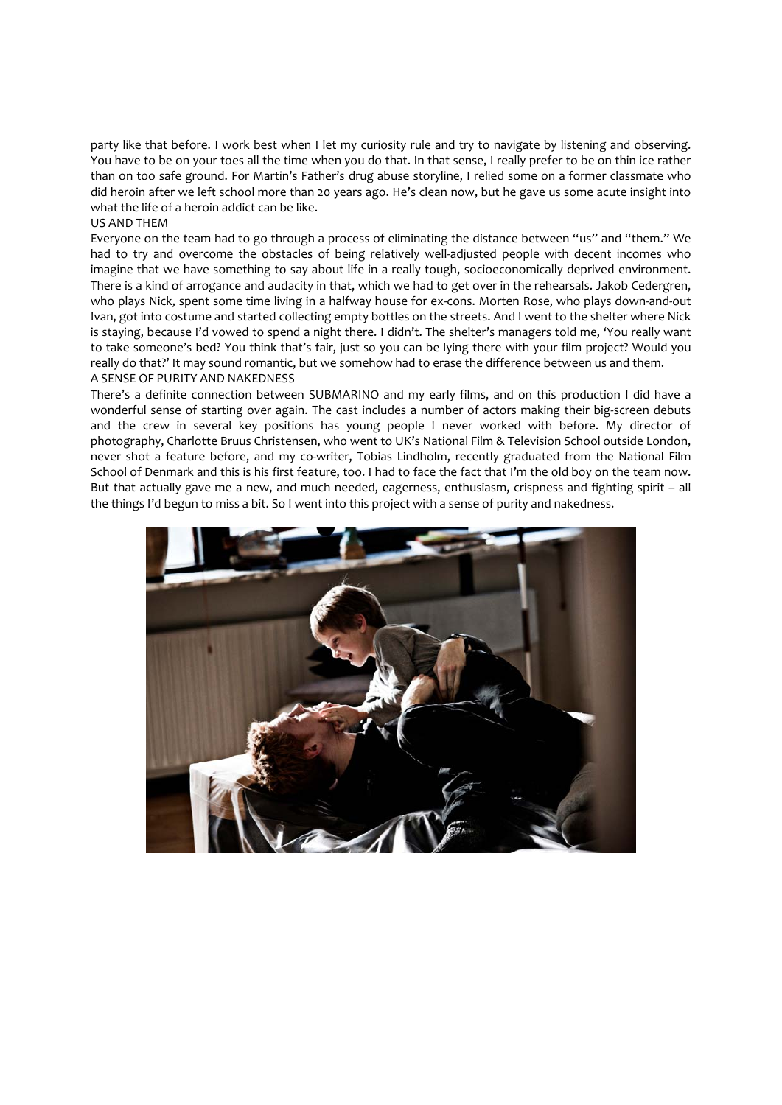party like that before. I work best when I let my curiosity rule and try to navigate by listening and observing. You have to be on your toes all the time when you do that. In that sense, I really prefer to be on thin ice rather than on too safe ground. For Martin's Father's drug abuse storyline, I relied some on a former classmate who did heroin after we left school more than 20 years ago. He's clean now, but he gave us some acute insight into what the life of a heroin addict can be like.

## US AND THEM

Everyone on the team had to go through a process of eliminating the distance between "us" and "them." We had to try and overcome the obstacles of being relatively well-adjusted people with decent incomes who imagine that we have something to say about life in a really tough, socioeconomically deprived environment. There is a kind of arrogance and audacity in that, which we had to get over in the rehearsals. Jakob Cedergren, who plays Nick, spent some time living in a halfway house for ex-cons. Morten Rose, who plays down-and-out Ivan, got into costume and started collecting empty bottles on the streets. And I went to the shelter where Nick is staying, because I'd vowed to spend a night there. I didn't. The shelter's managers told me, 'You really want to take someone's bed? You think that's fair, just so you can be lying there with your film project? Would you really do that?' It may sound romantic, but we somehow had to erase the difference between us and them. A SENSE OF PURITY AND NAKEDNESS

There's a definite connection between SUBMARINO and my early films, and on this production I did have a wonderful sense of starting over again. The cast includes a number of actors making their big-screen debuts and the crew in several key positions has young people I never worked with before. My director of photography, Charlotte Bruus Christensen, who went to UK's National Film & Television School outside London, never shot a feature before, and my co-writer, Tobias Lindholm, recently graduated from the National Film School of Denmark and this is his first feature, too. I had to face the fact that I'm the old boy on the team now. But that actually gave me a new, and much needed, eagerness, enthusiasm, crispness and fighting spirit – all the things I'd begun to miss a bit. So I went into this project with a sense of purity and nakedness.

![](_page_7_Picture_4.jpeg)